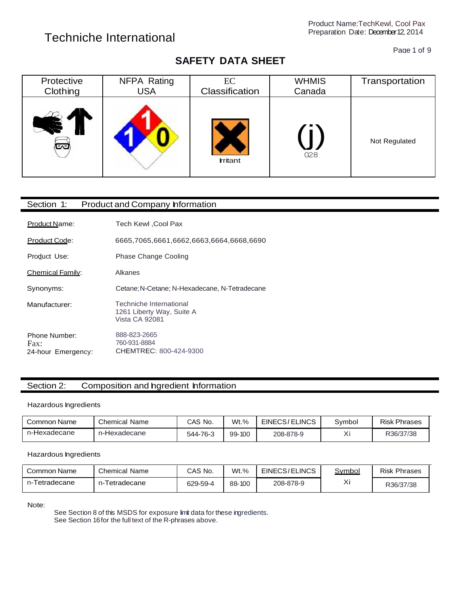Page 1 of 9

#### **SAFETY DATA SHEET**

| Protective | NFPA Rating | EC             | <b>WHMIS</b> | Transportation |
|------------|-------------|----------------|--------------|----------------|
| Clothing   | <b>USA</b>  | Classification | Canada       |                |
| تحا        |             | <b>rritant</b> | 028          | Not Regulated  |

| Section 1:                                  | <b>Product and Company Information</b>                                 |
|---------------------------------------------|------------------------------------------------------------------------|
| Product Name:                               | <b>Tech Kewl , Cool Pax</b>                                            |
| Product Code:                               | 6665,7065,6661,6662,6663,6664,6668,6690                                |
| Product Use:                                | Phase Change Cooling                                                   |
| <b>Chemical Family:</b>                     | Alkanes                                                                |
| Synonyms:                                   | Cetane: N-Cetane: N-Hexadecane, N-Tetradecane                          |
| Manufacturer:                               | Techniche International<br>1261 Liberty Way, Suite A<br>Vista CA 92081 |
| Phone Number:<br>Fax:<br>24-hour Emergency: | 888-823-2665<br>760-931-8884<br>CHEMTREC: 800-424-9300                 |

#### Section 2: Composition and hgredient Information

#### Hazardous Ingredients

| Common Name  | <b>Chemical Name</b> | CAS No.  | $Wt.\%$ | EINECS/ELINCS | Svmbol | Risk<br>: Phrases |
|--------------|----------------------|----------|---------|---------------|--------|-------------------|
| n-Hexadecane | n-Hexadecane         | 544-76-3 | 99-100  | 208-878-9     | ୵៶៲    | R36/37/38         |

#### Hazardous Ingredients

| Common Name        | <b>Chemical Name</b> | CAS No.  | $Wt.\%$ | EINECS/ELINCS | <u>Symbol</u> | <b>Risk Phrases</b> |
|--------------------|----------------------|----------|---------|---------------|---------------|---------------------|
| Tetradecane<br>n-I | -Tetradecane<br>$n-$ | 629-59-4 | 88-100  | 208-878-9     | 丷:<br>୵       | R36/37/38           |

Note:

See Section 8 of this MSDS for exposure limit data for these ingredients. See Section 16for the full text of the R-phrases above.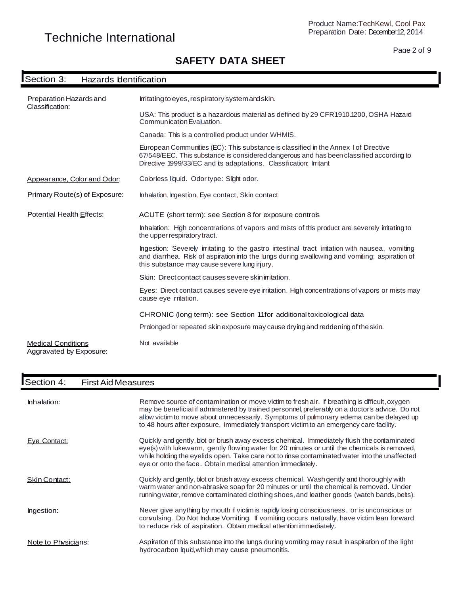#### Page 2 of 9

#### **SAFETY DATA SHEET**

# ISECTION 3: Hazards Identification International International International International International International International International International International International International International Inter

| Preparation Hazards and<br>Classification:           | Irritating to eyes, respiratory system and skin.<br>USA: This product is a hazardous material as defined by 29 CFR1910.1200, OSHA Hazard<br>Communication Evaluation.                                                                                |
|------------------------------------------------------|------------------------------------------------------------------------------------------------------------------------------------------------------------------------------------------------------------------------------------------------------|
|                                                      | Canada: This is a controlled product under WHMIS.                                                                                                                                                                                                    |
|                                                      | European Communities (EC): This substance is classified in the Annex 1 of Directive<br>67/548/EEC. This substance is considered dangerous and has been classified according to<br>Directive 1999/33/EC and its adaptations. Classification: Irritant |
| Appearance, Color and Odor:                          | Colorless liquid. Odor type: Slight odor.                                                                                                                                                                                                            |
| Primary Route(s) of Exposure:                        | Inhalation, Ingestion, Eye contact, Skin contact                                                                                                                                                                                                     |
| Potential Health Effects:                            | ACUTE (short term): see Section 8 for exposure controls                                                                                                                                                                                              |
|                                                      | Inhalation: High concentrations of vapors and mists of this product are severely irritating to<br>the upper respiratory tract.                                                                                                                       |
|                                                      | Ingestion: Severely irritating to the gastro intestinal tract initation with nausea, vomiting<br>and diarrhea. Risk of aspiration into the lungs during swallowing and vomiting; aspiration of<br>this substance may cause severe lung injury.       |
|                                                      | Skin: Direct contact causes severe skin irritation.                                                                                                                                                                                                  |
|                                                      | Eyes: Direct contact causes severe eye irritation. High concentrations of vapors or mists may<br>cause eye irritation.                                                                                                                               |
|                                                      | CHRONIC (long term): see Section 11for additional toxicological data                                                                                                                                                                                 |
|                                                      | Prolonged or repeated skin exposure may cause drying and reddening of the skin.                                                                                                                                                                      |
| <b>Medical Conditions</b><br>Aggravated by Exposure: | Not available                                                                                                                                                                                                                                        |

# ISection 4: First Aid Measures

| Inhalation:          | Remove source of contamination or move victim to fresh air. If breathing is difficult, oxygen<br>may be beneficial if administered by trained personnel, preferably on a doctor's advice. Do not<br>allow victim to move about unnecessarily. Symptoms of pulmonary edema can be delayed up<br>to 48 hours after exposure. Immediately transport victim to an emergency care facility. |
|----------------------|----------------------------------------------------------------------------------------------------------------------------------------------------------------------------------------------------------------------------------------------------------------------------------------------------------------------------------------------------------------------------------------|
| Eve Contact:         | Quickly and gently, blot or brush away excess chemical. Immediately flush the contaminated<br>eye(s) with lukewarm, gently flowing water for 20 minutes or until the chemicals is removed,<br>while holding the eyelids open. Take care not to rinse contaminated water into the unaffected<br>eye or onto the face. Obtain medical attention immediately.                             |
| <b>Skin Contact:</b> | Quickly and gently, blot or brush away excess chemical. Wash gently and thoroughly with<br>warm water and non-abrasive soap for 20 minutes or until the chemical is removed. Under<br>running water, remove contaminated clothing shoes, and leather goods (watch bands, belts).                                                                                                       |
| Ingestion:           | Never give anything by mouth if victim is rapidly losing consciousness, or is unconscious or<br>convulsing. Do Not Induce Vomiting. If vomiting occurs naturally, have victim lean forward<br>to reduce risk of aspiration. Obtain medical attention immediately.                                                                                                                      |
| Note to Physicians:  | Aspiration of this substance into the lungs during vomiting may result in aspiration of the light<br>hydrocarbon liquid, which may cause pneumonitis.                                                                                                                                                                                                                                  |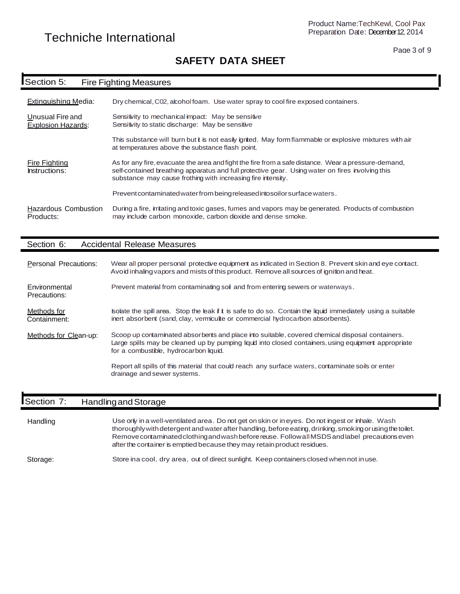Page 3 of 9

### **SAFETY DATA SHEET**

# **ISection 5:** Fire Fighting Measures

| Extinguishing Media:                          | Dry chemical, C02, alcohol foam. Use water spray to cool fire exposed containers.                                                                                                                                                                                       |
|-----------------------------------------------|-------------------------------------------------------------------------------------------------------------------------------------------------------------------------------------------------------------------------------------------------------------------------|
| Unusual Fire and<br><b>Explosion Hazards:</b> | Sensitivity to mechanical impact: May be sensitive<br>Sensitivity to static discharge: May be sensitive                                                                                                                                                                 |
|                                               | This substance will burn but it is not easily ignited. May form flammable or explosive mixtures with air<br>at temperatures above the substance flash point.                                                                                                            |
| <b>Fire Fighting</b><br>Instructions:         | As for any fire, evacuate the area and fight the fire from a safe distance. Wear a pressure-demand,<br>self-contained breathing apparatus and full protective gear. Using water on fires involving this<br>substance may cause frothing with increasing fire intensity. |
|                                               | Prevent contaminated water from being released into soil or surface waters.                                                                                                                                                                                             |
| <b>Hazardous Combustion</b><br>Products:      | During a fire, irritating and toxic gases, fumes and vapors may be generated. Products of combustion<br>may include carbon monoxide, carbon dioxide and dense smoke.                                                                                                    |

#### Section 6: Accidental Release Measures

| Personal Precautions:         | Wear all proper personal protective equipment as indicated in Section 8. Prevent skin and eye contact.<br>Avoid inhaling vapors and mists of this product. Remove all sources of ignition and heat.                                               |
|-------------------------------|---------------------------------------------------------------------------------------------------------------------------------------------------------------------------------------------------------------------------------------------------|
| Environmental<br>Precautions: | Prevent material from contaminating soil and from entering sewers or waterways.                                                                                                                                                                   |
| Methods for<br>Containment:   | solate the spill area. Stop the leak i it is safe to do so. Contain the liquid immediately using a suitable<br>inert absorbent (sand, clay, vermiculite or commercial hydrocarbon absorbents).                                                    |
| Methods for Clean-up:         | Scoop up contaminated absorbents and place into suitable, covered chemical disposal containers.<br>Large spills may be cleaned up by pumping liquid into closed containers, using equipment appropriate<br>for a combustible, hydrocarbon liquid. |
|                               | Report all spills of this material that could reach any surface waters, contaminate soils or enter<br>drainage and sewer systems.                                                                                                                 |

#### **Section 7:** Handling and Storage

| Handling | Use only in a well-ventilated area. Do not get on skin or in eyes. Do not ingest or inhale. Wash<br>thoroughly with detergent and water after handling, before eating, drinking, smoking or using the toilet.<br>Remove contaminated clothing and wash before reuse. Follow all MSDS and label precautions even<br>after the container is emptied because they may retain product residues. |
|----------|---------------------------------------------------------------------------------------------------------------------------------------------------------------------------------------------------------------------------------------------------------------------------------------------------------------------------------------------------------------------------------------------|
|          |                                                                                                                                                                                                                                                                                                                                                                                             |

Storage: Store ina cool, dry area, out of direct sunlight. Keep containers closed whennot inuse.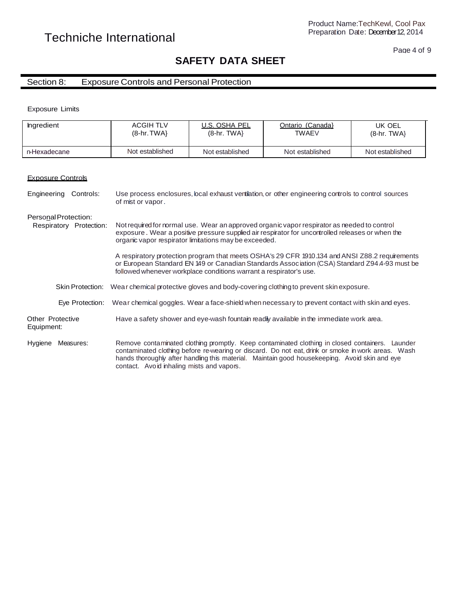#### Page 4 of 9

#### **SAFETY DATA SHEET**

#### Section 8: Exposure Controls and Personal Protection

Exposure Limits

| Ingredient                                      | <b>ACGIH TLV</b><br>$(8-hr. TWA)$                                                               | U.S. OSHA PEL<br>$(8-hr. TWA)$                                     | Ontario (Canada)<br><b>TWAEV</b>                                                                                                                                                                                                                                                                       | UK OEL<br>$(8-hr. TWA)$ |
|-------------------------------------------------|-------------------------------------------------------------------------------------------------|--------------------------------------------------------------------|--------------------------------------------------------------------------------------------------------------------------------------------------------------------------------------------------------------------------------------------------------------------------------------------------------|-------------------------|
| n-Hexadecane                                    | Not established                                                                                 | Not established                                                    | Not established                                                                                                                                                                                                                                                                                        | Not established         |
|                                                 |                                                                                                 |                                                                    |                                                                                                                                                                                                                                                                                                        |                         |
| <b>Exposure Controls</b>                        |                                                                                                 |                                                                    |                                                                                                                                                                                                                                                                                                        |                         |
| Controls:<br>Engineering                        | of mist or vapor.                                                                               |                                                                    | Use process enclosures, local exhaust ventilation, or other engineering controls to control sources                                                                                                                                                                                                    |                         |
| Personal Protection:<br>Respiratory Protection: |                                                                                                 | organic vapor respirator limitations may be exceeded.              | Not required for normal use. Wear an approved organic vapor respirator as needed to control<br>exposure. Wear a positive pressure supplied air respirator for uncontrolled releases or when the                                                                                                        |                         |
|                                                 |                                                                                                 | followed whenever workplace conditions warrant a respirator's use. | A respiratory protection program that meets OSHA's 29 CFR 1910.134 and ANSI Z88.2 requirements<br>or European Standard EN 149 or Canadian Standards Association (CSA) Standard Z94 4-93 must be                                                                                                        |                         |
| <b>Skin Protection:</b>                         | Wear chemical protective gloves and body-covering clothing to prevent skin exposure.            |                                                                    |                                                                                                                                                                                                                                                                                                        |                         |
| Eve Protection:                                 | Wear chemical goggles. Wear a face-shield when necessary to prevent contact with skin and eyes. |                                                                    |                                                                                                                                                                                                                                                                                                        |                         |
| Other Protective<br>Equipment:                  |                                                                                                 |                                                                    | Have a safety shower and eye-wash fountain readily available in the immediate work area.                                                                                                                                                                                                               |                         |
| Measures:<br>Hygiene                            | contact. Avoid inhaling mists and vapors.                                                       |                                                                    | Remove contaminated clothing promptly. Keep contaminated clothing in closed containers. Launder<br>contaminated clothing before re-wearing or discard. Do not eat, drink or smoke in work areas. Wash<br>hands thoroughly after handling this material. Maintain good housekeeping. Avoid skin and eye |                         |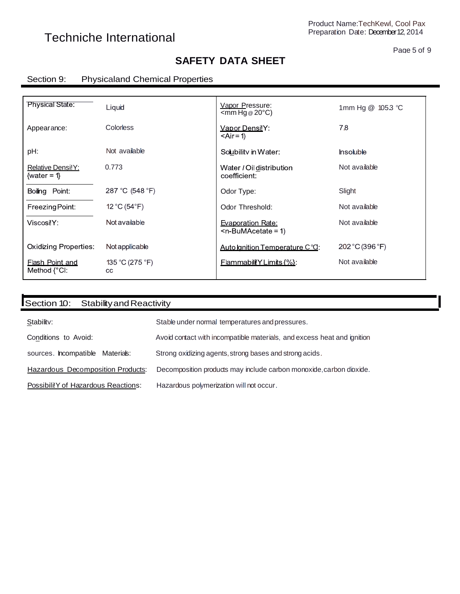#### Page 5 of 9

### **SAFETY DATA SHEET**

#### Section 9: Physicaland Chemical Properties

| <b>Physical State:</b>                            | Liquid                 | Vapor Pressure:<br>$\leq$ mm Hg @ 20 $\degree$ C)     | 1mm Hg @ 1053 °C |
|---------------------------------------------------|------------------------|-------------------------------------------------------|------------------|
| Appearance:                                       | <b>Colorless</b>       | Vapor DensilY:<br>$<$ Air = 1)                        | 7.8              |
| pH:                                               | Not available          | Soubility in Water:                                   | <b>Insoluble</b> |
| Relative Densi!Y:<br>{water = $1$ }               | 0.773                  | Water / Oil distribution<br>coefficient:              | Not available    |
| Boiling Point:                                    | 287 °C (548 °F)        | Odor Type:                                            | Slight           |
| Freezing Point:                                   | 12 °C (54 $\degree$ F) | Odor Threshold:                                       | Not available    |
| ViscosilY:                                        | Not available          | <b>Evaporation Rate:</b><br>$\leq n$ -BuMAcetate = 1) | Not available    |
| <b>Oxidizing Properties:</b>                      | Not applicable         | Auto Ignition Temperature C°O:                        | 202 °C (396 °F)  |
| <b>Flash Point and</b><br>Method $\{^{\circ}$ CI: | 135 °C (275 °F)<br>CC  | <b>FlammabillYLimits</b> $\frac{6}{6}$ :              | Not available    |

| Section 10:<br>Stability and Reactivity  |                                                                         |
|------------------------------------------|-------------------------------------------------------------------------|
| Stability:                               | Stable under normal temperatures and pressures.                         |
| Conditions to Avoid:                     | Avoid contact with incompatible materials, and excess heat and ignition |
| sources. Incompatible Materials:         | Strong oxidizing agents, strong bases and strong acids.                 |
| <b>Hazardous Decomposition Products:</b> | Decomposition products may include carbon monoxide, carbon dioxide.     |
| Possibili!Y of Hazardous Reactions:      | Hazardous polymerization will not occur.                                |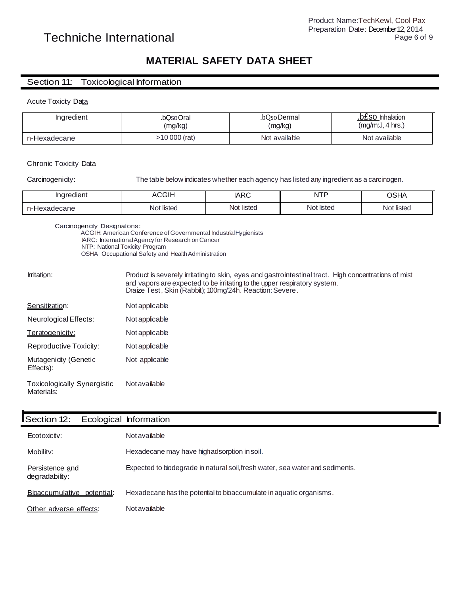### Techniche International Page 6 of 9

#### **MATERIAL SAFETY DATA SHEET**

#### Section 11: Toxicological Information

#### Acute Toxicity Data

| <b>Ingredient</b> | .bQsoOral    | .bOso Dermal  | .b£SO Inhalation |
|-------------------|--------------|---------------|------------------|
|                   | (mg/kg)      | (mg/kg)       | (mq/m:J, 4 hrs.) |
| n-Hexadecane      | 10 000 (rat) | Not available | Not available    |

#### Chronic Toxicity Data

Carcinogenicity: The table below indicates whether each agency has listed any ingredient as a carcinogen.

| . .<br><b>Inaredient</b> | ACGIH      | <b>ARC</b> | <b>NTP</b><br>. | <b>OSHA</b> |
|--------------------------|------------|------------|-----------------|-------------|
| n-Hexadecane             | Not listed | Not listed | Not listed      | Not listed  |

Draize Test, Skin (Rabbit); 100mg/24h. Reaction:Severe.

Carcinogenicity Designations:

ACGIH: American Conference of Governmental Industrial Hygienists

IARC: InternationalAgency for Research onCancer

NTP: National Toxicity Program

OSHA Occupational Safety and Health Administration

Irritation: Product is severely irritatingto skin, eyes and gastrointestinal tract. High concentrations of mist and vapors are expected to be irritating to the upper respiratory system.

| Sensitization:                                   | Not applicable |
|--------------------------------------------------|----------------|
| Neurological Effects:                            | Not applicable |
| Teratogenicity:                                  | Not applicable |
| Reproductive Toxicity:                           | Not applicable |
| Mutagenicity (Genetic<br>Effects):               | Not applicable |
| <b>Toxicologically Synergistic</b><br>Materials: | Not available  |

| Section 12:                       | Ecological Information                                                        |
|-----------------------------------|-------------------------------------------------------------------------------|
| Ecotoxicity:                      | Not available                                                                 |
| Mobility:                         | Hexadecane may have highadsorption in soil.                                   |
| Persistence and<br>degradability: | Expected to biodegrade in natural soil, fresh water, sea water and sediments. |
| Bioaccumulative potential:        | Hexadecane has the potential to bioaccumulate in aquatic organisms.           |
| Other adverse effects:            | Not available                                                                 |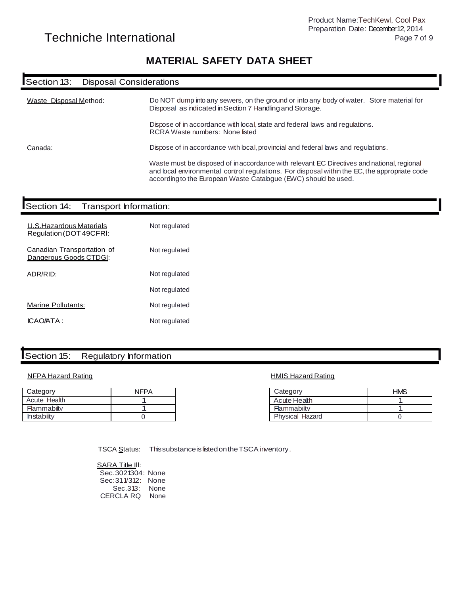#### **MATERIAL SAFETY DATA SHEET**

# **ISECTION 13:** Disposal Considerations ISECTION 13: Disposal Considerations ISECTION 13:

| Waste Disposal Method: | Do NOT dump into any sewers, on the ground or into any body of water. Store material for<br>Disposal as indicated in Section 7 Handling and Storage.                                                                                                          |
|------------------------|---------------------------------------------------------------------------------------------------------------------------------------------------------------------------------------------------------------------------------------------------------------|
|                        | Dispose of in accordance with local, state and federal laws and regulations.<br>RCRA Waste numbers: None listed                                                                                                                                               |
| Canada:                | Dispose of in accordance with local, provincial and federal laws and requlations.                                                                                                                                                                             |
|                        | Waste must be disposed of inaccordance with relevant EC Directives and national, regional<br>and local environmental control regulations. For disposal within the EC, the appropriate code<br>according to the European Waste Catalogue (EWC) should be used. |

# ISection 14: Transport Information:

| U.S. Hazardous Materials<br>Regulation (DOT 49CFRI:  | Not regulated |
|------------------------------------------------------|---------------|
| Canadian Transportation of<br>Dangerous Goods CTDGI: | Not regulated |
| ADR/RID:                                             | Not regulated |
|                                                      | Not regulated |
| Marine Pollutants:                                   | Not regulated |
| <b>ICAO/ATA:</b>                                     | Not regulated |
|                                                      |               |

# **ISection 15:** Regulatory Information Internal Internal Internal Internal Internal Internal Internal Internal Internal Internal Internal Internal Internal Internal Internal Internal Internal Internal Internal Internal Inte

#### NFPA Hazard Rating North Control of the HMIS Hazard Rating HMIS Hazard Rating

| Category          | <b>NFPA</b> |
|-------------------|-------------|
| Acute Health      |             |
| Flammability      |             |
| <b>Instabilty</b> |             |

| Category               | <b>HMS</b> |
|------------------------|------------|
| Acute Health           |            |
| Flammability           |            |
| <b>Physical Hazard</b> |            |

TSCA Status: This substance is listed on the TSCA inventory.

SARA Title III: Sec.3021304: None Sec:311/312: None Sec.313: None CERCLA RQ None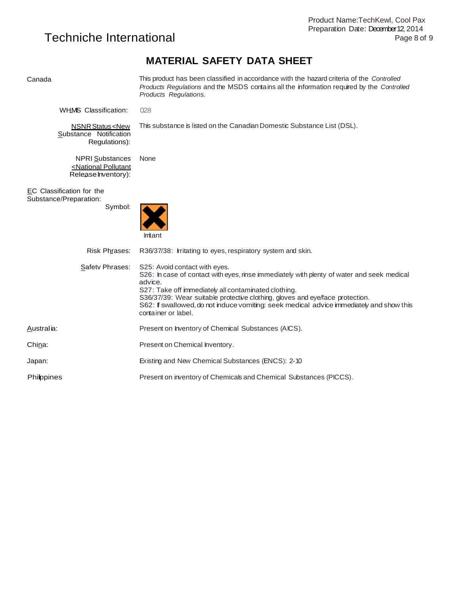### **MATERIAL SAFETY DATA SHEET**

| Canada                                                                             | This product has been classified in accordance with the hazard criteria of the Controlled<br>Products Regulations and the MSDS contains all the information required by the Controlled<br>Products Regulations.                                                                                                                                                                                    |
|------------------------------------------------------------------------------------|----------------------------------------------------------------------------------------------------------------------------------------------------------------------------------------------------------------------------------------------------------------------------------------------------------------------------------------------------------------------------------------------------|
| <b>WHMS Classification:</b>                                                        | 028                                                                                                                                                                                                                                                                                                                                                                                                |
| <b>NSNR Status <new< b=""><br/>Substance Notification<br/>Regulations):</new<></b> | This substance is listed on the Canadian Domestic Substance List (DSL).                                                                                                                                                                                                                                                                                                                            |
| <b>NPRI Substances</b><br><national pollutant<br="">Release Inventory):</national> | None                                                                                                                                                                                                                                                                                                                                                                                               |
| EC Classification for the<br>Substance/Preparation:<br>Symbol:                     | Irritant                                                                                                                                                                                                                                                                                                                                                                                           |
| Risk Phrases:                                                                      | R36/37/38: Irritating to eyes, respiratory system and skin.                                                                                                                                                                                                                                                                                                                                        |
| Safety Phrases:                                                                    | S25: Avoid contact with eyes.<br>S26: In case of contact with eyes, rinse immediately with plenty of water and seek medical<br>advice.<br>S27: Take off immediately all contaminated clothing.<br>S36/37/39: Wear suitable protective clothing, gloves and eye/face protection.<br>S62: If swallowed, do not induce vomiting: seek medical advice immediately and show this<br>container or label. |
| Australia:                                                                         | Present on Inventory of Chemical Substances (AICS).                                                                                                                                                                                                                                                                                                                                                |
| China:                                                                             | Present on Chemical Inventory.                                                                                                                                                                                                                                                                                                                                                                     |
| Japan:                                                                             | Existing and New Chemical Substances (ENCS): 2-10                                                                                                                                                                                                                                                                                                                                                  |
| <b>Philippines</b>                                                                 | Present on inventory of Chemicals and Chemical Substances (PICCS).                                                                                                                                                                                                                                                                                                                                 |